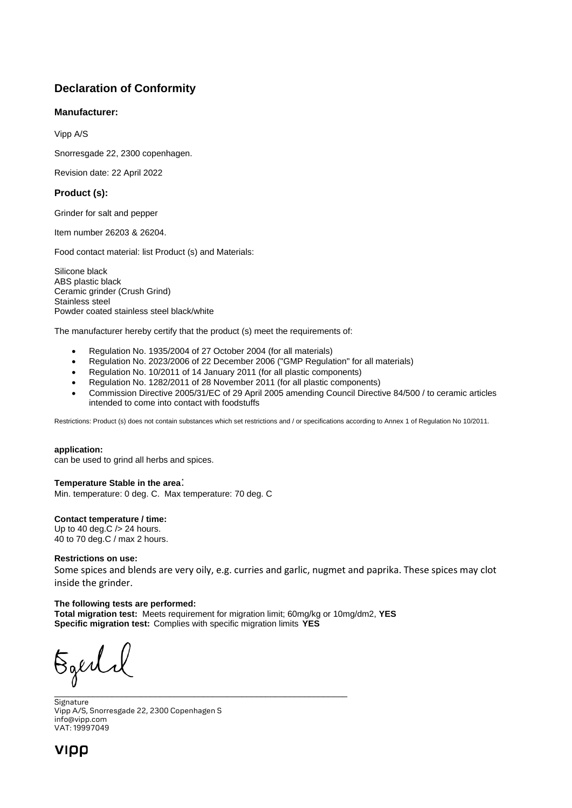# **Declaration of Conformity**

# **Manufacturer:**

Vipp A/S

Snorresgade 22, 2300 copenhagen.

Revision date: 22 April 2022

# **Product (s):**

Grinder for salt and pepper

Item number 26203 & 26204.

Food contact material: list Product (s) and Materials:

Silicone black ABS plastic black Ceramic grinder (Crush Grind) Stainless steel Powder coated stainless steel black/white

The manufacturer hereby certify that the product (s) meet the requirements of:

- Regulation No. 1935/2004 of 27 October 2004 (for all materials)
- Regulation No. 2023/2006 of 22 December 2006 ("GMP Regulation" for all materials)
- Regulation No. 10/2011 of 14 January 2011 (for all plastic components)
- Regulation No. 1282/2011 of 28 November 2011 (for all plastic components)
- Commission Directive 2005/31/EC of 29 April 2005 amending Council Directive 84/500 / to ceramic articles intended to come into contact with foodstuffs

Restrictions: Product (s) does not contain substances which set restrictions and / or specifications according to Annex 1 of Regulation No 10/2011.

#### **application:**

can be used to grind all herbs and spices.

#### **Temperature Stable in the area**:

Min. temperature: 0 deg. C. Max temperature: 70 deg. C

## **Contact temperature / time:**

Up to 40 deg.  $C$  /  $>$  24 hours. 40 to 70 deg.C / max 2 hours.

#### **Restrictions on use:**

Some spices and blends are very oily, e.g. curries and garlic, nugmet and paprika. These spices may clot inside the grinder.

## **The following tests are performed:**

**Total migration test:** Meets requirement for migration limit; 60mg/kg or 10mg/dm2, **YES Specific migration test:** Complies with specific migration limits **YES** 

Egerli \_\_\_\_\_\_\_\_\_\_\_\_\_\_\_\_\_\_\_\_\_\_\_\_\_\_\_\_\_\_\_\_\_\_\_\_\_\_\_\_\_\_\_\_\_\_\_\_\_\_\_\_\_\_\_\_\_\_\_\_\_

Signature Vipp A/S, Snorresgade 22, 2300 Copenhagen S info@vipp.com VAT: 19997049